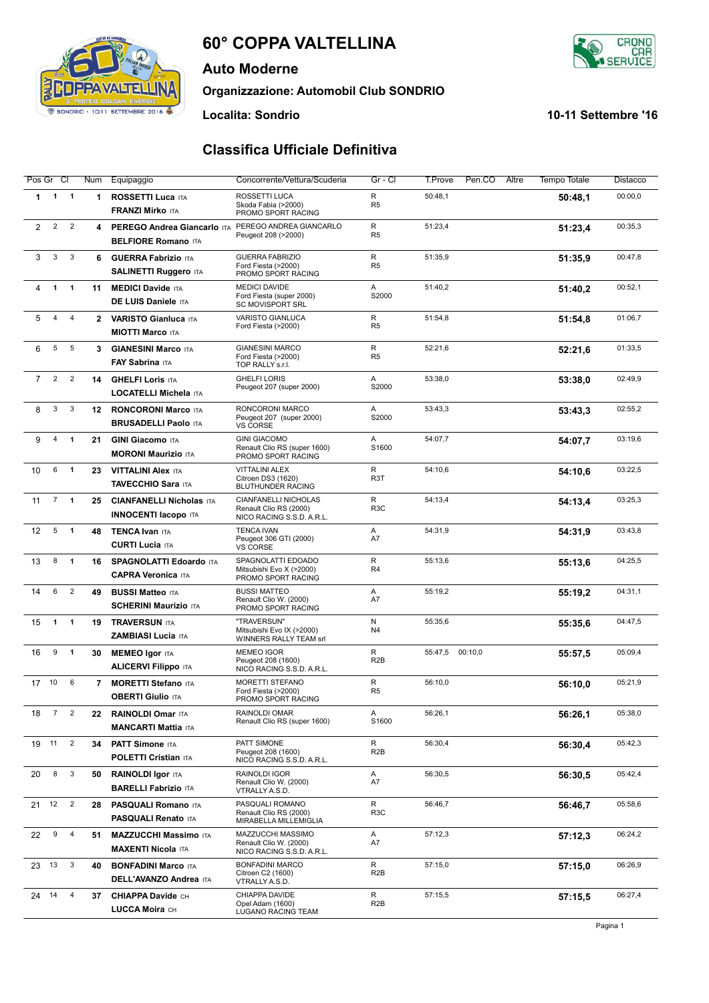# **60° COPPA VALTELLINA**

**Classifica Ufficiale Definitiva**

**Auto Moderne**

**Organizzazione: Automobil Club SONDRIO**

**Localita: Sondrio 10-11 Settembre '16**

SONDRIO - 10/11 SETTEMBRE 2016

I٢ CAR<br>ICE

| Pos Gr Cl      |                |                | Num            | Equipaggio                                                     | Concorrente/Vettura/Scuderia                                                       | Gr - Cl               | T.Prove<br>Pen.CO  | Altre<br><b>Tempo Totale</b> | Distacco |
|----------------|----------------|----------------|----------------|----------------------------------------------------------------|------------------------------------------------------------------------------------|-----------------------|--------------------|------------------------------|----------|
| $\mathbf 1$    | $\mathbf{1}$   | $\overline{1}$ | 1              | <b>ROSSETTI Luca ITA</b><br><b>FRANZI Mirko ITA</b>            | ROSSETTI LUCA<br>Skoda Fabia (>2000)<br>PROMO SPORT RACING                         | R<br>R <sub>5</sub>   | 50:48,1            | 50:48,1                      | 00:00,0  |
| $\overline{2}$ | $\overline{2}$ | $\overline{2}$ | 4              | PEREGO Andrea Giancarlo ITA<br><b>BELFIORE Romano ITA</b>      | PEREGO ANDREA GIANCARLO<br>Peugeot 208 (>2000)                                     | R<br>R <sub>5</sub>   | 51:23,4            | 51:23,4                      | 00:35,3  |
| 3              | 3              | 3              | 6              | <b>GUERRA Fabrizio ITA</b><br><b>SALINETTI Ruggero ITA</b>     | <b>GUERRA FABRIZIO</b><br>Ford Fiesta (>2000)<br>PROMO SPORT RACING                | R<br>R <sub>5</sub>   | 51:35,9            | 51:35,9                      | 00:47,8  |
| 4              | 1              | $\mathbf{1}$   | 11             | <b>MEDICI Davide ITA</b><br>DE LUIS Daniele ITA                | <b>MEDICI DAVIDE</b><br>Ford Fiesta (super 2000)<br><b>SC MOVISPORT SRL</b>        | A<br>S2000            | 51:40,2            | 51:40,2                      | 00:52,1  |
| 5              | 4              | $\overline{4}$ | $\mathbf{2}$   | <b>VARISTO Gianluca ITA</b><br><b>MIOTTI Marco ITA</b>         | VARISTO GIANLUCA<br>Ford Fiesta (>2000)                                            | R<br>R <sub>5</sub>   | 51:54,8            | 51:54.8                      | 01:06,7  |
| 6              | 5              | 5              | 3              | <b>GIANESINI Marco ITA</b><br>FAY Sabrina ITA                  | <b>GIANESINI MARCO</b><br>Ford Fiesta (>2000)<br>TOP RALLY s.r.l.                  | R<br>R <sub>5</sub>   | 52:21,6            | 52:21,6                      | 01:33,5  |
| $\overline{7}$ | $\overline{2}$ | $\overline{2}$ | 14             | <b>GHELFI Loris ITA</b><br>LOCATELLI Michela ITA               | <b>GHELFI LORIS</b><br>Peugeot 207 (super 2000)                                    | Α<br>S2000            | 53:38,0            | 53:38,0                      | 02:49,9  |
| 8              | 3              | 3              | 12             | <b>RONCORONI Marco ITA</b><br><b>BRUSADELLI Paolo ITA</b>      | RONCORONI MARCO<br>Peugeot 207 (super 2000)<br><b>VS CORSE</b>                     | Α<br>S2000            | 53:43,3            | 53:43,3                      | 02:55,2  |
| 9              | 4              | $\mathbf{1}$   | 21             | <b>GINI Giacomo ITA</b><br><b>MORONI Maurizio ITA</b>          | <b>GINI GIACOMO</b><br>Renault Clio RS (super 1600)<br>PROMO SPORT RACING          | Α<br>S1600            | 54:07,7            | 54:07,7                      | 03:19,6  |
| 10             | 6              | 1              | 23             | <b>VITTALINI Alex ITA</b><br><b>TAVECCHIO Sara ITA</b>         | <b>VITTALINI ALEX</b><br>Citroen DS3 (1620)<br>BLUTHUNDER RACING                   | R<br>R <sub>3</sub> T | 54:10.6            | 54:10,6                      | 03:22,5  |
| 11             | $\overline{7}$ | $\mathbf{1}$   | 25             | <b>CIANFANELLI Nicholas ITA</b><br><b>INNOCENTI Iacopo ITA</b> | <b>CIANFANELLI NICHOLAS</b><br>Renault Clio RS (2000)<br>NICO RACING S.S.D. A.R.L. | R<br>R <sub>3</sub> C | 54:13,4            | 54:13,4                      | 03:25,3  |
| 12             | 5              | $\mathbf{1}$   | 48             | <b>TENCA Ivan ITA</b><br><b>CURTI Lucia ITA</b>                | <b>TENCA IVAN</b><br>Peugeot 306 GTI (2000)<br>VS CORSE                            | Α<br>A7               | 54:31,9            | 54:31,9                      | 03:43,8  |
| 13             | 8              | $\mathbf{1}$   | 16             | <b>SPAGNOLATTI Edoardo ITA</b><br><b>CAPRA Veronica ITA</b>    | SPAGNOLATTI EDOADO<br>Mitsubishi Evo X (>2000)<br>PROMO SPORT RACING               | R<br>R <sub>4</sub>   | 55:13,6            | 55:13.6                      | 04:25,5  |
| 14             | 6              | $\overline{2}$ | 49             | <b>BUSSI Matteo ITA</b><br><b>SCHERINI Maurizio ITA</b>        | <b>BUSSI MATTEO</b><br>Renault Clio W. (2000)<br>PROMO SPORT RACING                | Α<br>A7               | 55:19,2            | 55:19,2                      | 04:31,1  |
| 15             | 1              | 1              | 19             | <b>TRAVERSUN ITA</b><br><b>ZAMBIASI Lucia ITA</b>              | "TRAVERSUN"<br>Mitsubishi Evo IX (>2000)<br><b>WINNERS RALLY TEAM srl</b>          | N<br>N <sub>4</sub>   | 55:35,6            | 55:35.6                      | 04:47,5  |
| 16             | 9              | 1              | 30             | <b>MEMEO Igor ITA</b><br><b>ALICERVI Filippo ITA</b>           | <b>MEMEO IGOR</b><br>Peugeot 208 (1600)<br>NICO RACING S.S.D. A.R.L.               | R<br>R <sub>2</sub> B | 00:10,0<br>55:47,5 | 55:57,5                      | 05:09,4  |
| 17 10          |                | 6              | $\overline{7}$ | <b>MORETTI Stefano ITA</b><br><b>OBERTI Giulio ITA</b>         | <b>MORETTI STEFANO</b><br>Ford Fiesta (>2000)<br>PROMO SPORT RACING                | R<br>R <sub>5</sub>   | 56:10,0            | 56:10.0                      | 05:21,9  |
| 18             | $7^{\circ}$    | $\overline{2}$ | 22             | <b>RAINOLDI Omar ITA</b><br><b>MANCARTI Mattia ITA</b>         | RAINOLDI OMAR<br>Renault Clio RS (super 1600)                                      | Α<br>S1600            | 56:26,1            | 56:26,1                      | 05:38,0  |
| 19 11          |                | $\overline{c}$ | 34             | <b>PATT Simone ITA</b><br><b>POLETTI Cristian ITA</b>          | PATT SIMONE<br>Peugeot 208 (1600)<br>NICO RACING S.S.D. A.R.L.                     | R<br>R <sub>2</sub> B | 56:30,4            | 56:30,4                      | 05:42,3  |
| 20             | 8              | 3              | 50             | <b>RAINOLDI Igor ITA</b><br><b>BARELLI Fabrizio ITA</b>        | RAINOLDI IGOR<br>Renault Clio W. (2000)<br>VTRALLY A.S.D.                          | A<br>A7               | 56:30,5            | 56:30,5                      | 05:42,4  |
| 21 12          |                | $\overline{2}$ | 28             | <b>PASQUALI Romano ITA</b><br><b>PASQUALI Renato ITA</b>       | PASQUALI ROMANO<br>Renault Clio RS (2000)<br>MIRABELLA MILLEMIGLIA                 | R<br>R <sub>3</sub> C | 56:46,7            | 56:46,7                      | 05:58,6  |
| 22             | 9              | 4              | 51             | <b>MAZZUCCHI Massimo ITA</b><br><b>MAXENTI Nicola ITA</b>      | MAZZUCCHI MASSIMO<br>Renault Clio W. (2000)<br>NICO RACING S.S.D. A.R.L.           | Α<br>A7               | 57:12,3            | 57:12,3                      | 06:24,2  |
| 23             | 13             | 3              | 40             | <b>BONFADINI Marco ITA</b><br><b>DELL'AVANZO Andrea ITA</b>    | <b>BONFADINI MARCO</b><br>Citroen C2 (1600)<br>VTRALLY A.S.D.                      | R<br>R <sub>2</sub> B | 57:15,0            | 57:15,0                      | 06:26,9  |
| 24 14          |                | 4              | 37             | <b>CHIAPPA Davide CH</b><br>LUCCA Moira CH                     | CHIAPPA DAVIDE<br>Opel Adam (1600)<br>LUGANO RACING TEAM                           | R<br>R <sub>2</sub> B | 57:15,5            | 57:15,5                      | 06:27,4  |

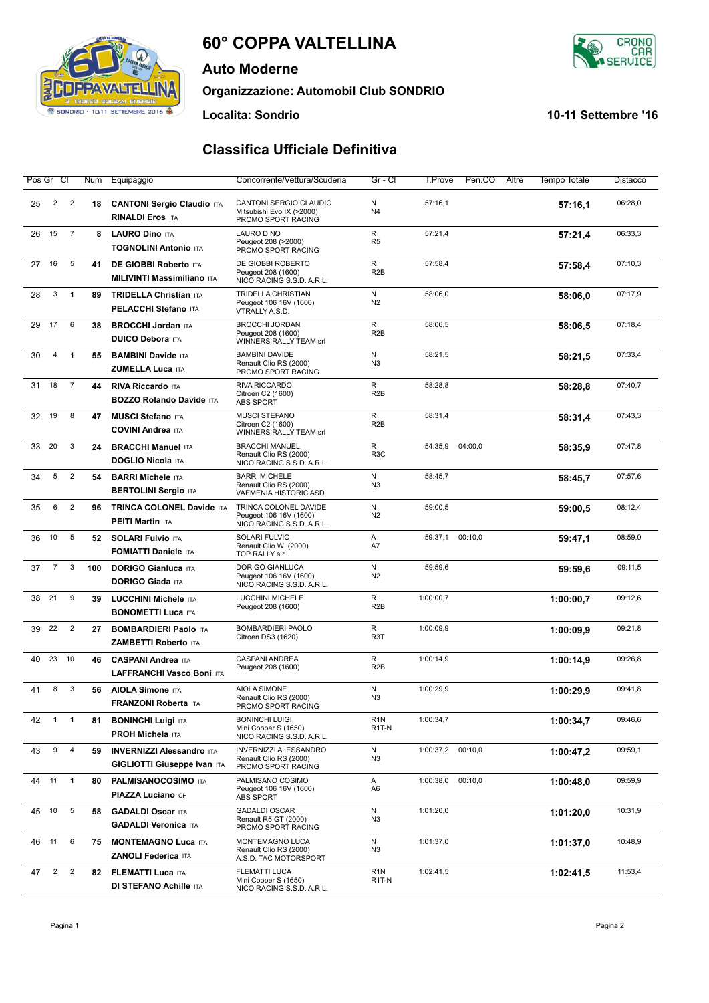# **60° COPPA VALTELLINA**

**Auto Moderne**

**Organizzazione: Automobil Club SONDRIO**

**Localita: Sondrio 10-11 Settembre '16**

| 0-11 Settembre '16 |  |
|--------------------|--|
|--------------------|--|

### **Classifica Ufficiale Definitiva**

|    | Pos Gr Cl      |                | Num | Equipaggio                                                             | Concorrente/Vettura/Scuderia                                                   | Gr - Cl                                | T.Prove   | Pen.CO  | Altre | <b>Tempo Totale</b> | Distacco |
|----|----------------|----------------|-----|------------------------------------------------------------------------|--------------------------------------------------------------------------------|----------------------------------------|-----------|---------|-------|---------------------|----------|
| 25 | $\overline{2}$ | $\overline{2}$ | 18  | <b>CANTONI Sergio Claudio ITA</b><br><b>RINALDI Eros ITA</b>           | CANTONI SERGIO CLAUDIO<br>Mitsubishi Evo IX (>2000)<br>PROMO SPORT RACING      | N<br>N <sub>4</sub>                    | 57:16,1   |         |       | 57:16,1             | 06:28,0  |
| 26 | 15             | $\overline{7}$ | 8   | <b>LAURO Dino ITA</b><br><b>TOGNOLINI Antonio ITA</b>                  | <b>LAURO DINO</b><br>Peugeot 208 (>2000)<br>PROMO SPORT RACING                 | R<br>R <sub>5</sub>                    | 57:21,4   |         |       | 57:21,4             | 06:33,3  |
| 27 | 16             | 5              | 41  | <b>DE GIOBBI Roberto ITA</b><br><b>MILIVINTI Massimiliano ITA</b>      | DE GIOBBI ROBERTO<br>Peugeot 208 (1600)<br>NICO RACING S.S.D. A.R.L.           | R<br>R <sub>2</sub> B                  | 57:58,4   |         |       | 57:58,4             | 07:10,3  |
| 28 | 3              | $\mathbf{1}$   | 89  | <b>TRIDELLA Christian ITA</b><br><b>PELACCHI Stefano ITA</b>           | <b>TRIDELLA CHRISTIAN</b><br>Peugeot 106 16V (1600)<br>VTRALLY A.S.D.          | N<br>N2                                | 58:06.0   |         |       | 58:06.0             | 07:17.9  |
| 29 | 17             | 6              | 38  | <b>BROCCHI Jordan ITA</b><br><b>DUICO Debora ITA</b>                   | <b>BROCCHI JORDAN</b><br>Peugeot 208 (1600)<br>WINNERS RALLY TEAM srl          | R<br>R <sub>2</sub> B                  | 58:06.5   |         |       | 58:06,5             | 07:18,4  |
| 30 | 4              | $\mathbf{1}$   | 55  | <b>BAMBINI Davide ITA</b><br><b>ZUMELLA Luca ITA</b>                   | <b>BAMBINI DAVIDE</b><br>Renault Clio RS (2000)<br>PROMO SPORT RACING          | N<br>N <sub>3</sub>                    | 58:21,5   |         |       | 58:21,5             | 07:33,4  |
| 31 | 18             | $\overline{7}$ | 44  | <b>RIVA Riccardo ITA</b><br><b>BOZZO Rolando Davide ITA</b>            | RIVA RICCARDO<br>Citroen C2 (1600)<br><b>ABS SPORT</b>                         | R<br>R <sub>2</sub> B                  | 58:28,8   |         |       | 58:28,8             | 07:40,7  |
| 32 | 19             | 8              | 47  | <b>MUSCI Stefano ITA</b><br><b>COVINI Andrea ITA</b>                   | <b>MUSCI STEFANO</b><br>Citroen C2 (1600)<br>WINNERS RALLY TEAM srl            | R<br>R <sub>2</sub> B                  | 58:31,4   |         |       | 58:31,4             | 07:43.3  |
| 33 | 20             | 3              | 24  | <b>BRACCHI Manuel ITA</b><br><b>DOGLIO Nicola ITA</b>                  | <b>BRACCHI MANUEL</b><br>Renault Clio RS (2000)<br>NICO RACING S.S.D. A.R.L.   | R<br>R <sub>3</sub> C                  | 54:35,9   | 04:00,0 |       | 58:35,9             | 07:47,8  |
| 34 | 5              | $\overline{2}$ | 54  | <b>BARRI Michele ITA</b><br><b>BERTOLINI Sergio ITA</b>                | <b>BARRI MICHELE</b><br>Renault Clio RS (2000)<br><b>VAEMENIA HISTORIC ASD</b> | N<br>N <sub>3</sub>                    | 58:45,7   |         |       | 58:45,7             | 07:57,6  |
| 35 | 6              | $\overline{2}$ | 96  | <b>TRINCA COLONEL Davide ITA</b><br><b>PEITI Martin ITA</b>            | TRINCA COLONEL DAVIDE<br>Peugeot 106 16V (1600)<br>NICO RACING S.S.D. A.R.L.   | N<br>N2                                | 59:00,5   |         |       | 59:00,5             | 08:12,4  |
| 36 | 10             | 5              | 52  | <b>SOLARI Fulvio ITA</b><br><b>FOMIATTI Daniele ITA</b>                | SOLARI FULVIO<br>Renault Clio W. (2000)<br>TOP RALLY s.r.l.                    | Α<br>A7                                | 59:37,1   | 00:10,0 |       | 59:47,1             | 08:59,0  |
| 37 | $\overline{7}$ | 3              | 100 | <b>DORIGO Gianluca ITA</b><br><b>DORIGO Giada ITA</b>                  | <b>DORIGO GIANLUCA</b><br>Peugeot 106 16V (1600)<br>NICO RACING S.S.D. A.R.L.  | N<br>N2                                | 59:59,6   |         |       | 59:59.6             | 09:11,5  |
| 38 | 21             | 9              | 39  | LUCCHINI Michele ITA<br><b>BONOMETTI Luca ITA</b>                      | <b>LUCCHINI MICHELE</b><br>Peugeot 208 (1600)                                  | R<br>R <sub>2</sub> B                  | 1:00:00,7 |         |       | 1:00:00,7           | 09:12,6  |
| 39 | 22             | $\overline{2}$ | 27  | <b>BOMBARDIERI Paolo ITA</b><br>ZAMBETTI Roberto ITA                   | BOMBARDIERI PAOLO<br>Citroen DS3 (1620)                                        | R<br>R <sub>3</sub> T                  | 1:00:09,9 |         |       | 1:00:09.9           | 09:21,8  |
| 40 | 23             | 10             | 46  | <b>CASPANI Andrea ITA</b><br>LAFFRANCHI Vasco Boni ITA                 | <b>CASPANI ANDREA</b><br>Peugeot 208 (1600)                                    | R<br>R <sub>2</sub> B                  | 1:00:14,9 |         |       | 1:00:14,9           | 09:26,8  |
| 41 | 8              | 3              | 56  | <b>AIOLA Simone ITA</b><br><b>FRANZONI Roberta ITA</b>                 | AIOLA SIMONE<br>Renault Clio RS (2000)<br>PROMO SPORT RACING                   | N<br>N <sub>3</sub>                    | 1:00:29,9 |         |       | 1:00:29.9           | 09:41,8  |
| 42 | $\overline{1}$ | $\mathbf{1}$   | 81  | <b>BONINCHI Luigi ITA</b><br><b>PROH Michela ITA</b>                   | <b>BONINCHI LUIGI</b><br>Mini Cooper S (1650)<br>NICO RACING S.S.D. A.R.L.     | R <sub>1</sub> N<br>R <sub>1</sub> T-N | 1:00:34,7 |         |       | 1:00:34,7           | 09:46,6  |
| 43 | 9              | 4              | 59  | <b>INVERNIZZI Alessandro ITA</b><br><b>GIGLIOTTI Giuseppe Ivan ITA</b> | <b>INVERNIZZI ALESSANDRO</b><br>Renault Clio RS (2000)<br>PROMO SPORT RACING   | N<br>N <sub>3</sub>                    | 1:00:37,2 | 00:10,0 |       | 1:00:47,2           | 09:59,1  |
|    | 44 11          | $\blacksquare$ | 80  | <b>PALMISANOCOSIMO ITA</b><br><b>PIAZZA Luciano CH</b>                 | PALMISANO COSIMO<br>Peugeot 106 16V (1600)<br>ABS SPORT                        | Α<br>A6                                | 1:00:38,0 | 00:10,0 |       | 1:00:48,0           | 09:59,9  |
| 45 | 10             | $\sqrt{5}$     | 58  | <b>GADALDI Oscar ITA</b><br><b>GADALDI Veronica ITA</b>                | <b>GADALDI OSCAR</b><br>Renault R5 GT (2000)<br>PROMO SPORT RACING             | N<br>N3                                | 1:01:20,0 |         |       | 1:01:20,0           | 10:31,9  |
| 46 | 11             | 6              | 75  | <b>MONTEMAGNO Luca ITA</b><br>ZANOLI Federica ITA                      | MONTEMAGNO LUCA<br>Renault Clio RS (2000)<br>A.S.D. TAC MOTORSPORT             | N<br>N3                                | 1:01:37,0 |         |       | 1:01:37,0           | 10:48,9  |
| 47 | $\overline{2}$ | $\overline{2}$ | 82  | <b>FLEMATTI Luca ITA</b><br><b>DI STEFANO Achille ITA</b>              | FLEMATTI LUCA<br>Mini Cooper S (1650)<br>NICO RACING S.S.D. A.R.L.             | R <sub>1</sub> N<br>R <sub>1</sub> T-N | 1:02:41,5 |         |       | 1:02:41,5           | 11:53,4  |



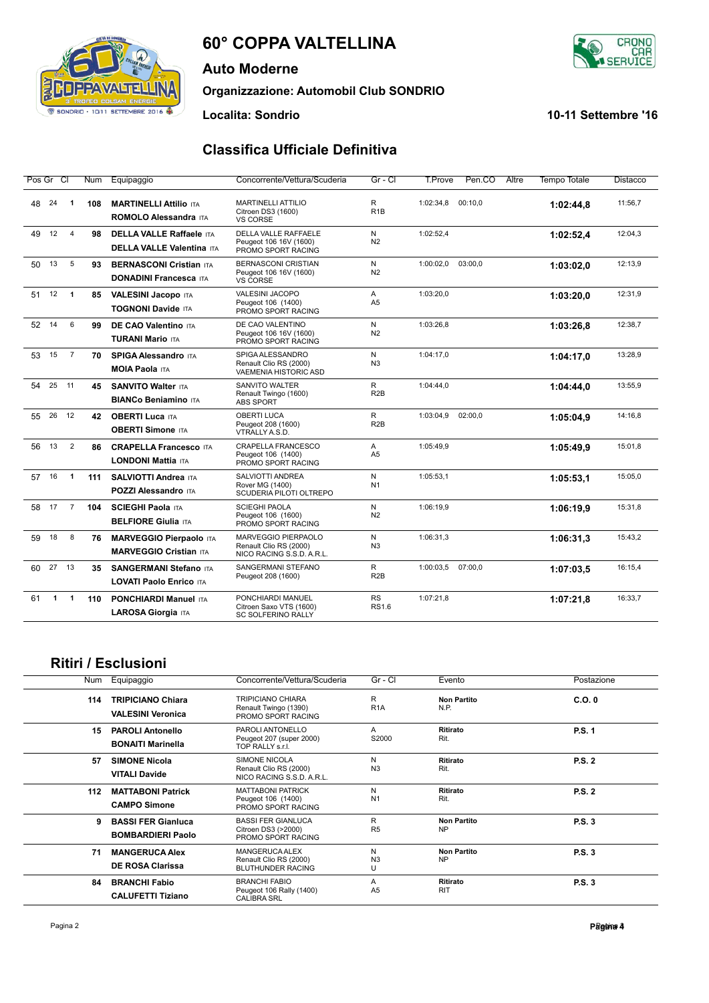# **60° COPPA VALTELLINA**

**Auto Moderne**

**Organizzazione: Automobil Club SONDRIO**

#### **Classifica Ufficiale Definitiva**

| Pos Gr Cl                                 | Num | Equipaggio                                                          | Concorrente/Vettura/Scuderia                                               | Gr - Cl                   | T.Prove   | Pen.CO<br>Altre | <b>Tempo Totale</b> | Distacco |
|-------------------------------------------|-----|---------------------------------------------------------------------|----------------------------------------------------------------------------|---------------------------|-----------|-----------------|---------------------|----------|
| 48<br>24<br>-1                            | 108 | <b>MARTINELLI Attilio ITA</b><br><b>ROMOLO Alessandra ITA</b>       | <b>MARTINELLI ATTILIO</b><br>Citroen DS3 (1600)<br><b>VS CORSE</b>         | R<br>R <sub>1</sub> B     | 1:02:34,8 | 00:10.0         | 1:02:44,8           | 11:56,7  |
| 49<br>12<br>$\overline{4}$                | 98  | <b>DELLA VALLE Raffaele ITA</b><br><b>DELLA VALLE Valentina ITA</b> | DELLA VALLE RAFFAELE<br>Peugeot 106 16V (1600)<br>PROMO SPORT RACING       | N<br>N <sub>2</sub>       | 1:02:52,4 |                 | 1:02:52,4           | 12:04.3  |
| 13<br>5<br>50                             | 93  | <b>BERNASCONI Cristian ITA</b><br><b>DONADINI Francesca ITA</b>     | <b>BERNASCONI CRISTIAN</b><br>Peugeot 106 16V (1600)<br>VS CORSE           | N<br>N <sub>2</sub>       | 1:00:02,0 | 03:00,0         | 1:03:02.0           | 12:13,9  |
| 51<br>12<br>$\overline{1}$                | 85  | <b>VALESINI Jacopo ITA</b><br><b>TOGNONI Davide ITA</b>             | VALESINI JACOPO<br>Peugeot 106 (1400)<br>PROMO SPORT RACING                | A<br>A <sub>5</sub>       | 1:03:20,0 |                 | 1:03:20.0           | 12:31,9  |
| 6<br>52<br>14                             | 99  | <b>DE CAO Valentino ITA</b><br><b>TURANI Mario ITA</b>              | DE CAO VALENTINO<br>Peugeot 106 16V (1600)<br>PROMO SPORT RACING           | N<br>N <sub>2</sub>       | 1:03:26,8 |                 | 1:03:26,8           | 12:38,7  |
| $\overline{7}$<br>53<br>15                | 70  | <b>SPIGA Alessandro ITA</b><br><b>MOIA Paola ITA</b>                | SPIGA ALESSANDRO<br>Renault Clio RS (2000)<br><b>VAEMENIA HISTORIC ASD</b> | N.<br>N <sub>3</sub>      | 1:04:17,0 |                 | 1:04:17,0           | 13:28,9  |
| 54<br>25<br>11                            | 45  | <b>SANVITO Walter ITA</b><br><b>BIANCo Beniamino ITA</b>            | SANVITO WALTER<br>Renault Twingo (1600)<br><b>ABS SPORT</b>                | R<br>R <sub>2</sub> B     | 1:04:44,0 |                 | 1:04:44,0           | 13:55,9  |
| 12<br>55<br>26                            | 42  | <b>OBERTI Luca ITA</b><br><b>OBERTI Simone ITA</b>                  | <b>OBERTI LUCA</b><br>Peugeot 208 (1600)<br>VTRALLY A.S.D.                 | R.<br>R <sub>2</sub> B    | 1:03:04,9 | 02:00.0         | 1:05:04,9           | 14:16,8  |
| 13<br>$\overline{2}$<br>56                | 86  | <b>CRAPELLA Francesco ITA</b><br><b>LONDONI Mattia ITA</b>          | CRAPELLA FRANCESCO<br>Peugeot 106 (1400)<br>PROMO SPORT RACING             | A<br>A <sub>5</sub>       | 1:05:49.9 |                 | 1:05:49,9           | 15:01.8  |
| 57 16<br>$\overline{1}$                   | 111 | <b>SALVIOTTI Andrea ITA</b><br><b>POZZI Alessandro ITA</b>          | SALVIOTTI ANDREA<br>Rover MG (1400)<br>SCUDERIA PILOTI OLTREPO             | N.<br>N <sub>1</sub>      | 1:05:53.1 |                 | 1:05:53.1           | 15:05.0  |
| 17<br>58<br>$\overline{7}$                | 104 | <b>SCIEGHI Paola ITA</b><br><b>BELFIORE Giulia ITA</b>              | <b>SCIEGHI PAOLA</b><br>Peugeot 106 (1600)<br>PROMO SPORT RACING           | N<br>N <sub>2</sub>       | 1:06:19.9 |                 | 1:06:19.9           | 15:31.8  |
| 59<br>18<br>8                             | 76  | <b>MARVEGGIO Pierpaolo ITA</b><br><b>MARVEGGIO Cristian ITA</b>     | MARVEGGIO PIERPAOLO<br>Renault Clio RS (2000)<br>NICO RACING S.S.D. A.R.L. | N<br>N <sub>3</sub>       | 1:06:31.3 |                 | 1:06:31.3           | 15:43.2  |
| 27<br>13<br>60                            | 35  | <b>SANGERMANI Stefano ITA</b><br>LOVATI Paolo Enrico ITA            | SANGERMANI STEFANO<br>Peugeot 208 (1600)                                   | R<br>R <sub>2</sub> B     | 1:00:03,5 | 07:00.0         | 1:07:03.5           | 16:15.4  |
| 61<br>$\blacktriangleleft$<br>$\mathbf 1$ | 110 | <b>PONCHIARDI Manuel ITA</b><br>LAROSA Giorgia ITA                  | PONCHIARDI MANUEL<br>Citroen Saxo VTS (1600)<br>SC SOLFERINO RALLY         | <b>RS</b><br><b>RS1.6</b> | 1:07:21,8 |                 | 1:07:21,8           | 16:33,7  |

## **Ritiri / Esclusioni**

| Num | Equipaggio                                            | Concorrente/Vettura/Scuderia                                                | Gr - Cl                  | Evento                          | Postazione    |
|-----|-------------------------------------------------------|-----------------------------------------------------------------------------|--------------------------|---------------------------------|---------------|
| 114 | <b>TRIPICIANO Chiara</b><br><b>VALESINI Veronica</b>  | <b>TRIPICIANO CHIARA</b><br>Renault Twingo (1390)<br>PROMO SPORT RACING     | R.<br>R <sub>1</sub> A   | <b>Non Partito</b><br>N.P.      | C.O.0         |
| 15  | <b>PAROLI Antonello</b><br><b>BONAITI Marinella</b>   | PAROLI ANTONELLO<br>Peugeot 207 (super 2000)<br>TOP RALLY s.r.l.            | A<br>S2000               | <b>Ritirato</b><br>Rit.         | P.S. 1        |
| 57  | <b>SIMONE Nicola</b><br><b>VITALI Davide</b>          | <b>SIMONE NICOLA</b><br>Renault Clio RS (2000)<br>NICO RACING S.S.D. A.R.L. | N<br>N <sub>3</sub>      | Ritirato<br>Rit.                | <b>P.S. 2</b> |
| 112 | <b>MATTABONI Patrick</b><br><b>CAMPO Simone</b>       | <b>MATTABONI PATRICK</b><br>Peugeot 106 (1400)<br>PROMO SPORT RACING        | N<br>N <sub>1</sub>      | <b>Ritirato</b><br>Rit.         | <b>P.S. 2</b> |
| 9   | <b>BASSI FER Gianluca</b><br><b>BOMBARDIERI Paolo</b> | <b>BASSI FER GIANLUCA</b><br>Citroen DS3 (>2000)<br>PROMO SPORT RACING      | R<br>R <sub>5</sub>      | <b>Non Partito</b><br><b>NP</b> | P.S.3         |
| 71  | <b>MANGERUCA Alex</b><br><b>DE ROSA Clarissa</b>      | MANGERUCA ALEX<br>Renault Clio RS (2000)<br><b>BLUTHUNDER RACING</b>        | N<br>N <sub>3</sub><br>U | <b>Non Partito</b><br><b>NP</b> | P.S.3         |
| 84  | <b>BRANCHI Fabio</b><br><b>CALUFETTI Tiziano</b>      | <b>BRANCHI FABIO</b><br>Peugeot 106 Rally (1400)<br><b>CALIBRA SRL</b>      | A<br>A <sub>5</sub>      | Ritirato<br><b>RIT</b>          | P.S.3         |



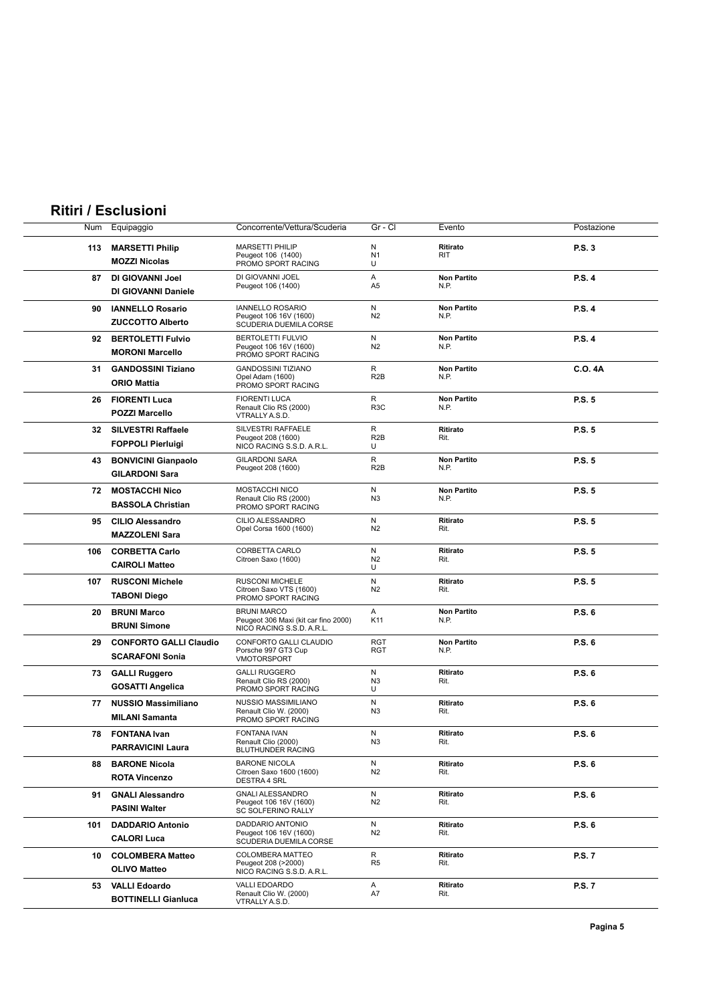## **Ritiri / Esclusioni**

| Num | Equipaggio                    | Concorrente/Vettura/Scuderia                               | Gr - Cl               | Evento                     | Postazione     |
|-----|-------------------------------|------------------------------------------------------------|-----------------------|----------------------------|----------------|
|     |                               | <b>MARSETTI PHILIP</b>                                     | N                     | Ritirato                   |                |
| 113 | <b>MARSETTI Philip</b>        | Peugeot 106 (1400)                                         | N <sub>1</sub>        | <b>RIT</b>                 | <b>P.S. 3</b>  |
|     | <b>MOZZI Nicolas</b>          | PROMO SPORT RACING                                         | U                     |                            |                |
| 87  | DI GIOVANNI Joel              | DI GIOVANNI JOEL<br>Peugeot 106 (1400)                     | Α<br>A <sub>5</sub>   | <b>Non Partito</b><br>N.P. | <b>P.S. 4</b>  |
|     | DI GIOVANNI Daniele           |                                                            |                       |                            |                |
| 90  | <b>IANNELLO Rosario</b>       | <b>IANNELLO ROSARIO</b>                                    | N                     | <b>Non Partito</b>         | <b>P.S. 4</b>  |
|     | <b>ZUCCOTTO Alberto</b>       | Peugeot 106 16V (1600)<br>SCUDERIA DUEMILA CORSE           | N2                    | N.P.                       |                |
| 92  | <b>BERTOLETTI Fulvio</b>      | <b>BERTOLETTI FULVIO</b>                                   | N                     | <b>Non Partito</b>         | <b>P.S. 4</b>  |
|     | <b>MORONI Marcello</b>        | Peugeot 106 16V (1600)                                     | N <sub>2</sub>        | N.P.                       |                |
|     |                               | PROMO SPORT RACING                                         |                       |                            |                |
| 31  | <b>GANDOSSINI Tiziano</b>     | <b>GANDOSSINI TIZIANO</b><br>Opel Adam (1600)              | R<br>R <sub>2</sub> B | <b>Non Partito</b><br>N.P. | <b>C.O. 4A</b> |
|     | <b>ORIO Mattia</b>            | PROMO SPORT RACING                                         |                       |                            |                |
|     | 26 FIORENTI Luca              | <b>FIORENTI LUCA</b>                                       | R                     | <b>Non Partito</b>         | P.S. 5         |
|     | <b>POZZI Marcello</b>         | Renault Clio RS (2000)<br>VTRALLY A.S.D.                   | R <sub>3</sub> C      | N.P.                       |                |
| 32  | <b>SILVESTRI Raffaele</b>     | SILVESTRI RAFFAELE                                         | R                     | Ritirato                   | P.S. 5         |
|     | <b>FOPPOLI Pierluigi</b>      | Peugeot 208 (1600)<br>NICO RACING S.S.D. A.R.L.            | R <sub>2</sub> B<br>U | Rit.                       |                |
|     |                               | <b>GILARDONI SARA</b>                                      | R                     | <b>Non Partito</b>         |                |
| 43  | <b>BONVICINI Gianpaolo</b>    | Peugeot 208 (1600)                                         | R <sub>2</sub> B      | N.P.                       | P.S. 5         |
|     | <b>GILARDONI Sara</b>         |                                                            |                       |                            |                |
| 72  | <b>MOSTACCHI Nico</b>         | MOSTACCHI NICO<br>Renault Clio RS (2000)                   | N<br>N3               | <b>Non Partito</b><br>N.P. | P.S. 5         |
|     | <b>BASSOLA Christian</b>      | PROMO SPORT RACING                                         |                       |                            |                |
| 95  | <b>CILIO Alessandro</b>       | CILIO ALESSANDRO                                           | N                     | Ritirato                   | P.S. 5         |
|     | <b>MAZZOLENI Sara</b>         | Opel Corsa 1600 (1600)                                     | N <sub>2</sub>        | Rit.                       |                |
| 106 | <b>CORBETTA Carlo</b>         | CORBETTA CARLO                                             | N                     | Ritirato                   | P.S. 5         |
|     | <b>CAIROLI Matteo</b>         | Citroen Saxo (1600)                                        | N <sub>2</sub>        | Rit.                       |                |
|     |                               |                                                            | U                     |                            |                |
| 107 | <b>RUSCONI Michele</b>        | <b>RUSCONI MICHELE</b><br>Citroen Saxo VTS (1600)          | N<br>N <sub>2</sub>   | Ritirato<br>Rit.           | P.S. 5         |
|     | <b>TABONI Diego</b>           | PROMO SPORT RACING                                         |                       |                            |                |
| 20  | <b>BRUNI Marco</b>            | <b>BRUNI MARCO</b><br>Peugeot 306 Maxi (kit car fino 2000) | Α<br>K11              | <b>Non Partito</b><br>N.P. | P.S. 6         |
|     | <b>BRUNI Simone</b>           | NICO RACING S.S.D. A.R.L.                                  |                       |                            |                |
| 29  | <b>CONFORTO GALLI Claudio</b> | CONFORTO GALLI CLAUDIO                                     | <b>RGT</b>            | <b>Non Partito</b>         | P.S. 6         |
|     | <b>SCARAFONI Sonia</b>        | Porsche 997 GT3 Cup<br>VMOTORSPORT                         | <b>RGT</b>            | N.P.                       |                |
| 73  | <b>GALLI Ruggero</b>          | <b>GALLI RUGGERO</b>                                       | N                     | Ritirato                   | P.S. 6         |
|     | <b>GOSATTI Angelica</b>       | Renault Clio RS (2000)                                     | N3                    | Rit.                       |                |
|     |                               | PROMO SPORT RACING                                         | U                     |                            |                |
| 77  | <b>NUSSIO Massimiliano</b>    | <b>NUSSIO MASSIMILIANO</b><br>Renault Clio W. (2000)       | N<br>N3               | Ritirato<br>Rit.           | P.S. 6         |
|     | <b>MILANI Samanta</b>         | PROMO SPORT RACING                                         |                       |                            |                |
| 78  | <b>FONTANA Ivan</b>           | <b>FONTANA IVAN</b><br>Renault Clio (2000)                 | N<br>N <sub>3</sub>   | Ritirato                   | P.S. 6         |
|     | <b>PARRAVICINI Laura</b>      | <b>BLUTHUNDER RACING</b>                                   |                       | Rit.                       |                |
| 88  | <b>BARONE Nicola</b>          | <b>BARONE NICOLA</b>                                       | N                     | Ritirato                   | P.S. 6         |
|     | <b>ROTA Vincenzo</b>          | Citroen Saxo 1600 (1600)<br>DESTRA 4 SRL                   | N2                    | Rit.                       |                |
| 91  | <b>GNALI Alessandro</b>       | <b>GNALI ALESSANDRO</b>                                    | N                     | Ritirato                   | P.S. 6         |
|     |                               | Peugeot 106 16V (1600)                                     | N <sub>2</sub>        | Rit.                       |                |
|     | <b>PASINI Walter</b>          | SC SOLFERINO RALLY                                         |                       |                            |                |
| 101 | <b>DADDARIO Antonio</b>       | DADDARIO ANTONIO<br>Peugeot 106 16V (1600)                 | N<br>N2               | Ritirato<br>Rit.           | P.S. 6         |
|     | <b>CALORI Luca</b>            | SCUDERIA DUEMILA CORSE                                     |                       |                            |                |
| 10  | <b>COLOMBERA Matteo</b>       | COLOMBERA MATTEO                                           | R                     | Ritirato                   | P.S. 7         |
|     | <b>OLIVO Matteo</b>           | Peugeot 208 (>2000)<br>NICO RACING S.S.D. A.R.L.           | R <sub>5</sub>        | Rit.                       |                |
| 53  | <b>VALLI Edoardo</b>          | VALLI EDOARDO                                              | Α                     | Ritirato                   | P.S. 7         |
|     | <b>BOTTINELLI Gianluca</b>    | Renault Clio W. (2000)<br>VTRALLY A.S.D.                   | A7                    | Rit.                       |                |
|     |                               |                                                            |                       |                            |                |